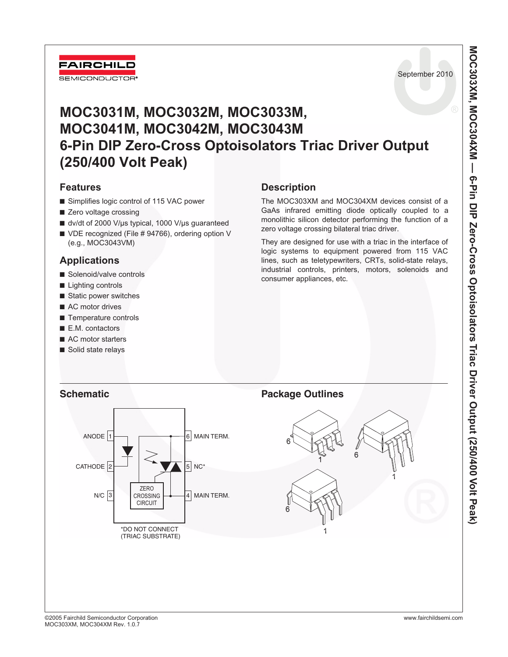

September 2010

# **MOC3031M, MOC3032M, MOC3033M, MOC3041M, MOC3042M, MOC3043M 6-Pin DIP Zero-Cross Optoisolators Triac Driver Output (250/400 Volt Peak)**

## **Features**

- Simplifies logic control of 115 VAC power
- Zero voltage crossing
- dv/dt of 2000 V/µs typical, 1000 V/µs guaranteed
- VDE recognized (File # 94766), ordering option V (e.g., MOC3043VM)

## **Applications**

- Solenoid/valve controls
- Lighting controls
- Static power switches
- AC motor drives
- Temperature controls
- E.M. contactors
- AC motor starters
- Solid state relays

## **Description**

The MOC303XM and MOC304XM devices consist of a GaAs infrared emitting diode optically coupled to a monolithic silicon detector performing the function of a zero voltage crossing bilateral triac driver.

They are designed for use with a triac in the interface of logic systems to equipment powered from 115 VAC lines, such as teletypewriters, CRTs, solid-state relays, industrial controls, printers, motors, solenoids and consumer appliances, etc.

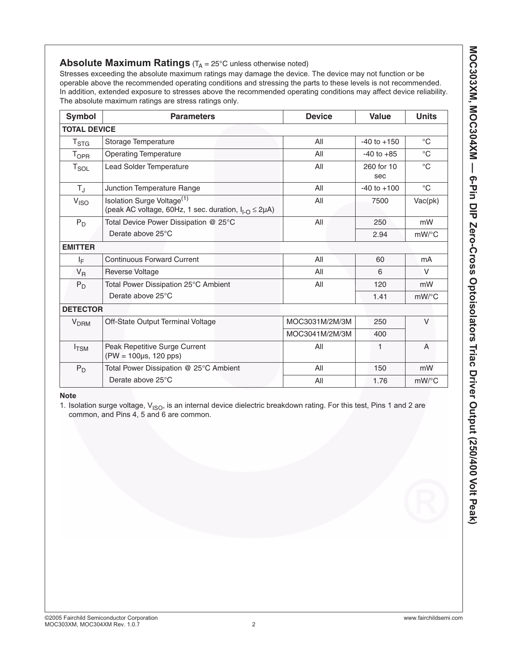## **Absolute Maximum Ratings** (T<sub>A</sub> = 25°C unless otherwise noted)

Stresses exceeding the absolute maximum ratings may damage the device. The device may not function or be operable above the recommended operating conditions and stressing the parts to these levels is not recommended. In addition, extended exposure to stresses above the recommended operating conditions may affect device reliability. The absolute maximum ratings are stress ratings only.

| <b>Symbol</b>           | <b>Parameters</b>                                                                                          | <b>Device</b>  | Value             | <b>Units</b>   |
|-------------------------|------------------------------------------------------------------------------------------------------------|----------------|-------------------|----------------|
| <b>TOTAL DEVICE</b>     |                                                                                                            |                |                   |                |
| $T_{\text{STG}}$        | Storage Temperature                                                                                        | All            | $-40$ to $+150$   | $^{\circ}$ C   |
| <b>T</b> <sub>OPR</sub> | <b>Operating Temperature</b>                                                                               | All            | $-40$ to $+85$    | $^{\circ}C$    |
| $T_{SOL}$               | <b>Lead Solder Temperature</b>                                                                             | All            | 260 for 10<br>sec | $^{\circ}C$    |
| $T_{\rm J}$             | Junction Temperature Range                                                                                 | All            | $-40$ to $+100$   | $^{\circ}$ C   |
| V <sub>ISO</sub>        | Isolation Surge Voltage <sup>(1)</sup><br>(peak AC voltage, 60Hz, 1 sec. duration, $I_{1-O} \leq 2\mu A$ ) | All            | 7500              | Vac(pk)        |
| $P_D$                   | Total Device Power Dissipation @ 25°C                                                                      | All            | 250               | mW             |
|                         | Derate above 25°C                                                                                          |                | 2.94              | $mW$ /°C       |
| <b>EMITTER</b>          |                                                                                                            |                |                   |                |
| ΙĘ                      | <b>Continuous Forward Current</b>                                                                          | All            | 60                | mA             |
| $V_R$                   | Reverse Voltage                                                                                            | All            | 6                 | $\vee$         |
| $P_D$                   | Total Power Dissipation 25°C Ambient                                                                       | All<br>120     |                   | mW             |
|                         | Derate above 25°C                                                                                          |                | 1.41              | $mW$ /°C       |
| <b>DETECTOR</b>         |                                                                                                            |                |                   |                |
| <b>V<sub>DRM</sub></b>  | Off-State Output Terminal Voltage                                                                          | MOC3031M/2M/3M | 250               | $\vee$         |
|                         |                                                                                                            | MOC3041M/2M/3M | 400               |                |
| $I_{TSM}$               | Peak Repetitive Surge Current<br>$(PW = 100 \mu s, 120 \mu s)$                                             | All            | 1                 | $\overline{A}$ |
| $P_D$                   | Total Power Dissipation @ 25°C Ambient                                                                     | All            | 150               | mW             |
|                         | Derate above 25°C                                                                                          | All            | 1.76              | $mW$ /°C       |

**Note** 

1. Isolation surge voltage,  $V_{ISO}$ , is an internal device dielectric breakdown rating. For this test, Pins 1 and 2 are common, and Pins 4, 5 and 6 are common.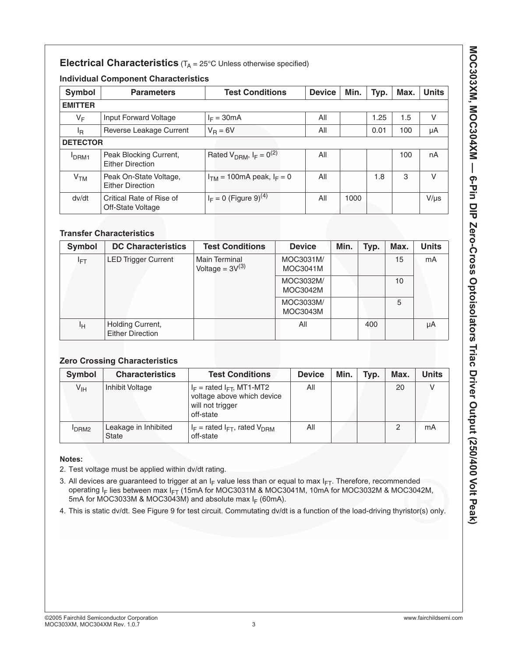## **Electrical Characteristics** (T<sub>A</sub> = 25°C Unless otherwise specified)

### **Individual Component Characteristics**

| <b>Symbol</b>   | <b>Parameters</b>                                 | <b>Test Conditions</b>              | <b>Device</b> | Min. | Typ. | Max. | <b>Units</b> |
|-----------------|---------------------------------------------------|-------------------------------------|---------------|------|------|------|--------------|
| <b>EMITTER</b>  |                                                   |                                     |               |      |      |      |              |
| $V_F$           | Input Forward Voltage                             | $I_F = 30mA$                        | All           |      | 1.25 | 1.5  | v            |
| ΙŖ              | Reverse Leakage Current                           | $V_R = 6V$                          | All           |      | 0.01 | 100  | μA           |
|                 | <b>DETECTOR</b>                                   |                                     |               |      |      |      |              |
| <b>IDRM1</b>    | Peak Blocking Current,<br><b>Either Direction</b> | Rated $V_{DRM}$ , $I_F = 0^{(2)}$   | All           |      |      | 100  | nA           |
| V <sub>TM</sub> | Peak On-State Voltage,<br><b>Either Direction</b> | $ITM = 100mA peak, IF = 0$          | All           |      | 1.8  | 3    | V            |
| dv/dt           | Critical Rate of Rise of<br>Off-State Voltage     | $I_F = 0$ (Figure 9) <sup>(4)</sup> | All           | 1000 |      |      | $V/\mu s$    |

### **Transfer Characteristics**

| Symbol          | <b>DC Characteristics</b>                   | <b>Test Conditions</b>                | <b>Device</b>                | Min. | Typ. | Max. | <b>Units</b> |
|-----------------|---------------------------------------------|---------------------------------------|------------------------------|------|------|------|--------------|
| <sup>I</sup> FT | <b>LED Trigger Current</b>                  | Main Terminal<br>Voltage = $3V^{(3)}$ | MOC3031M/<br><b>MOC3041M</b> |      |      | 15   | mA           |
|                 |                                             |                                       | MOC3032M/<br>MOC3042M        |      |      | 10   |              |
|                 |                                             |                                       | MOC3033M/<br>MOC3043M        |      |      | 5    |              |
| Iн              | Holding Current,<br><b>Either Direction</b> |                                       | All                          |      | 400  |      | μA           |

## **Zero Crossing Characteristics**

| Symbol           | <b>Characteristics</b>               | <b>Test Conditions</b>                                                                          | <b>Device</b> | Min. | Typ. | Max. | <b>Units</b> |
|------------------|--------------------------------------|-------------------------------------------------------------------------------------------------|---------------|------|------|------|--------------|
| $V_{\text{IH}}$  | Inhibit Voltage                      | $I_F$ = rated $I_{FT}$ , MT1-MT2<br>voltage above which device<br>will not trigger<br>off-state | All           |      |      | 20   |              |
| DRM <sub>2</sub> | Leakage in Inhibited<br><b>State</b> | $I_F$ = rated $I_{FT}$ , rated $V_{DRM}$<br>off-state                                           | All           |      |      | ⌒    | mA           |

### **Notes:**

- 2. Test voltage must be applied within dv/dt rating.
- 3. All devices are guaranteed to trigger at an  $I_F$  value less than or equal to max  $I_{FT}$ . Therefore, recommended operating I<sub>F</sub> lies between max I<sub>FT</sub> (15mA for MOC3031M & MOC3041M, 10mA for MOC3032M & MOC3042M, 5mA for MOC3033M & MOC3043M) and absolute max  $I_F$  (60mA).
- 4. This is static dv/dt. See Figure 9 for test circuit. Commutating dv/dt is a function of the load-driving thyristor(s) only.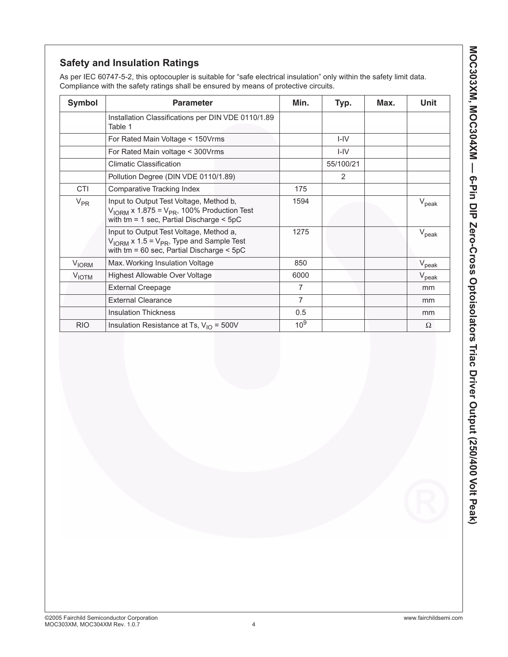## **Safety and Insulation Ratings**

As per IEC 60747-5-2, this optocoupler is suitable for "safe electrical insulation" only within the safety limit data. Compliance with the safety ratings shall be ensured by means of protective circuits.

| <b>Symbol</b>           | <b>Parameter</b>                                                                                                                                              | Min.            | Typ.      | Max. | Unit           |
|-------------------------|---------------------------------------------------------------------------------------------------------------------------------------------------------------|-----------------|-----------|------|----------------|
|                         | Installation Classifications per DIN VDE 0110/1.89<br>Table 1                                                                                                 |                 |           |      |                |
|                         | For Rated Main Voltage < 150Vrms                                                                                                                              |                 | $I - IV$  |      |                |
|                         | For Rated Main voltage < 300 Vrms                                                                                                                             |                 | $I - IV$  |      |                |
|                         | <b>Climatic Classification</b>                                                                                                                                |                 | 55/100/21 |      |                |
|                         | Pollution Degree (DIN VDE 0110/1.89)                                                                                                                          |                 | 2         |      |                |
| <b>CTI</b>              | Comparative Tracking Index                                                                                                                                    | 175             |           |      |                |
| $V_{PR}$                | Input to Output Test Voltage, Method b,<br>$V_{\text{IORM}}$ x 1.875 = $V_{\text{PR}}$ , 100% Production Test<br>with $tm = 1$ sec, Partial Discharge $<$ 5pC | 1594            |           |      | $V_{\rm peak}$ |
|                         | Input to Output Test Voltage, Method a,<br>$V_{\text{IORM}}$ x 1.5 = $V_{\text{PR}}$ , Type and Sample Test<br>with $tm = 60$ sec, Partial Discharge $< 5pC$  | 1275            |           |      | $V_{\rm peak}$ |
| <b>V<sub>IORM</sub></b> | Max. Working Insulation Voltage                                                                                                                               | 850             |           |      | $V_{\rm peak}$ |
| <b>VIOTM</b>            | Highest Allowable Over Voltage                                                                                                                                | 6000            |           |      | $V_{\rm peak}$ |
|                         | <b>External Creepage</b>                                                                                                                                      | 7               |           |      | mm             |
|                         | <b>External Clearance</b>                                                                                                                                     | 7               |           |      | mm             |
|                         | <b>Insulation Thickness</b>                                                                                                                                   | 0.5             |           |      | mm             |
| <b>RIO</b>              | Insulation Resistance at Ts, $V_{1O} = 500V$                                                                                                                  | 10 <sup>9</sup> |           |      | $\Omega$       |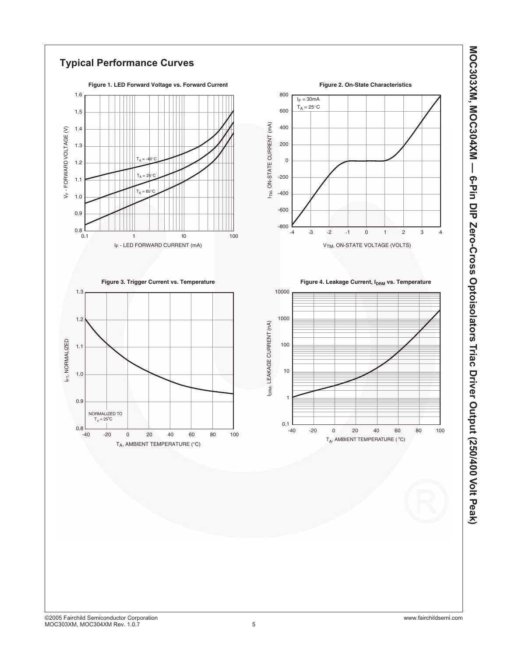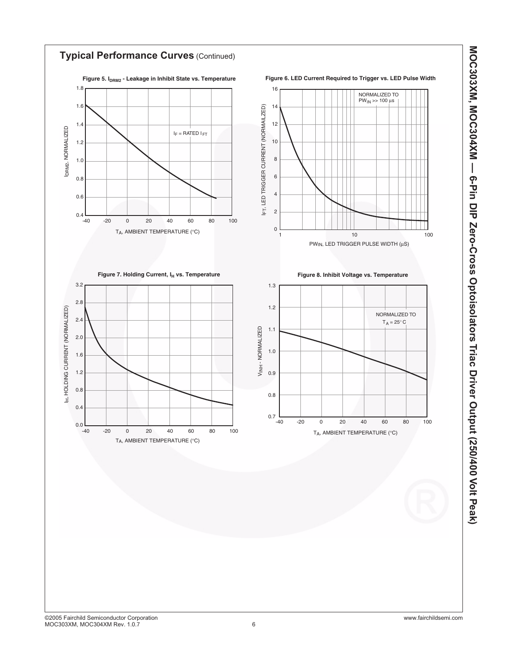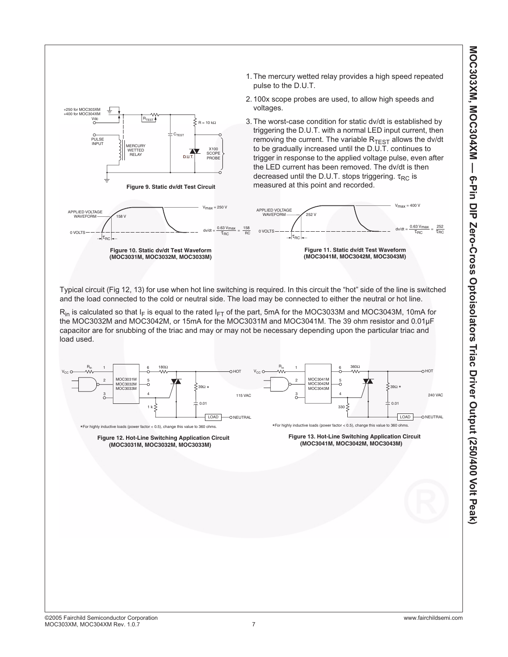

Typical circuit (Fig 12, 13) for use when hot line switching is required. In this circuit the "hot" side of the line is switched and the load connected to the cold or neutral side. The load may be connected to either the neutral or hot line.

 $R_{in}$  is calculated so that I<sub>F</sub> is equal to the rated I<sub>FT</sub> of the part, 5mA for the MOC3033M and MOC3043M, 10mA for the MOC3032M and MOC3042M, or 15mA for the MOC3031M and MOC3041M. The 39 ohm resistor and 0.01µF capacitor are for snubbing of the triac and may or may not be necessary depending upon the particular triac and load used.

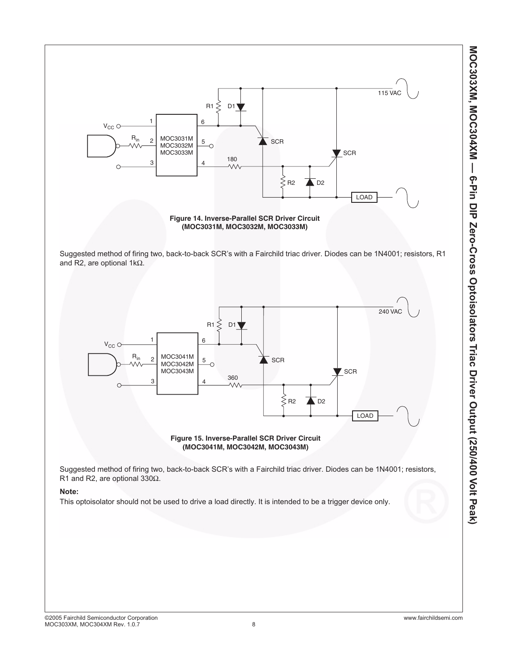

**(MOC3031M, MOC3032M, MOC3033M)**

Suggested method of firing two, back-to-back SCR's with a Fairchild triac driver. Diodes can be 1N4001; resistors, R1 and R2, are optional 1kΩ.





Suggested method of firing two, back-to-back SCR's with a Fairchild triac driver. Diodes can be 1N4001; resistors, R1 and R2, are optional 330Ω.

### **Note:**

This optoisolator should not be used to drive a load directly. It is intended to be a trigger device only.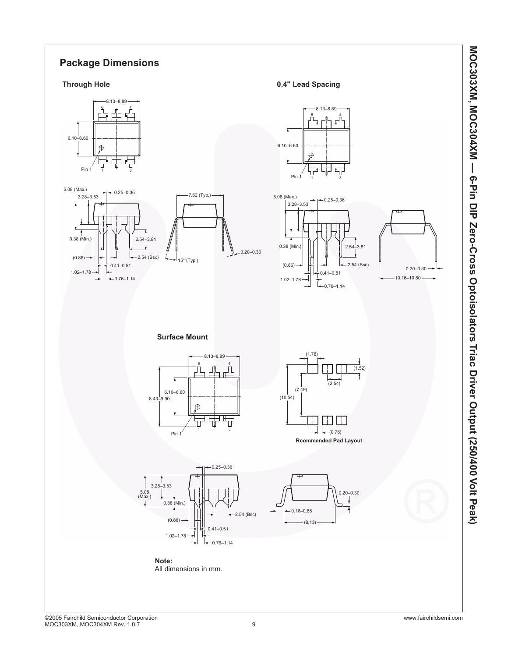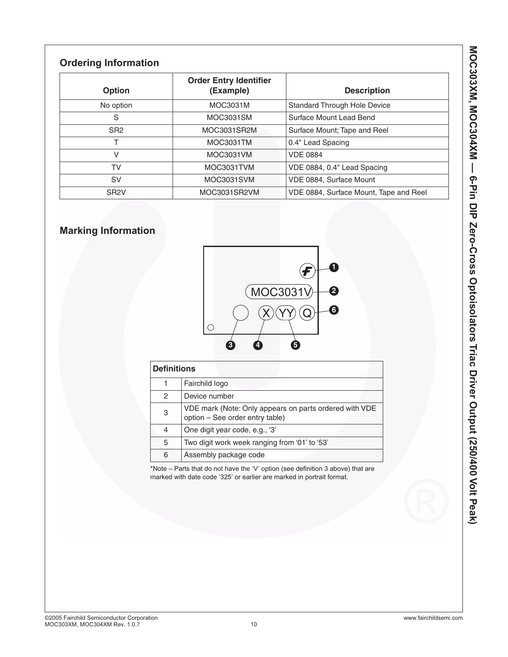## **Ordering Information**

| Option            | <b>Order Entry Identifier</b><br>(Example) | <b>Description</b>                     |  |  |
|-------------------|--------------------------------------------|----------------------------------------|--|--|
| No option         | MOC3031M                                   | <b>Standard Through Hole Device</b>    |  |  |
| S                 | MOC3031SM                                  | Surface Mount Lead Bend                |  |  |
| SR <sub>2</sub>   | MOC3031SR2M                                | Surface Mount; Tape and Reel           |  |  |
|                   | MOC3031TM                                  | 0.4" Lead Spacing                      |  |  |
| V                 | MOC3031VM                                  | <b>VDE 0884</b>                        |  |  |
| TV                | MOC3031TVM                                 | VDE 0884, 0.4" Lead Spacing            |  |  |
| <b>SV</b>         | MOC3031SVM                                 | VDE 0884, Surface Mount                |  |  |
| SR <sub>2</sub> V | MOC3031SR2VM                               | VDE 0884, Surface Mount, Tape and Reel |  |  |

## **Marking Information**



| <b>Definitions</b> |                                                                                           |  |  |  |
|--------------------|-------------------------------------------------------------------------------------------|--|--|--|
|                    | Fairchild logo                                                                            |  |  |  |
| 2                  | Device number                                                                             |  |  |  |
| 3                  | VDE mark (Note: Only appears on parts ordered with VDE<br>option - See order entry table) |  |  |  |
| 4                  | One digit year code, e.g., '3'                                                            |  |  |  |
| 5                  | Two digit work week ranging from '01' to '53'                                             |  |  |  |
| 6                  | Assembly package code                                                                     |  |  |  |

\*Note – Parts that do not have the 'V' option (see definition 3 above) that are marked with date code '325' or earlier are marked in portrait format.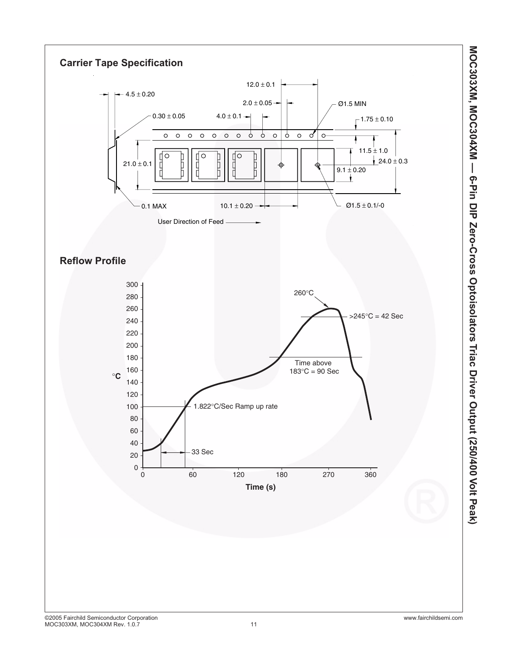